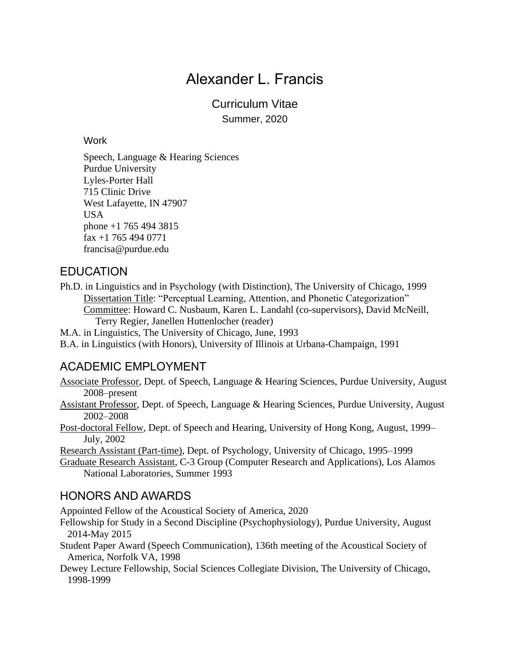Curriculum Vitae Summer, 2020

#### **Work**

Speech, Language & Hearing Sciences Purdue University Lyles-Porter Hall 715 Clinic Drive West Lafayette, IN 47907 USA phone +1 765 494 3815 fax +1 765 494 0771 francisa@purdue.edu

## EDUCATION

Ph.D. in Linguistics and in Psychology (with Distinction), The University of Chicago, 1999 Dissertation Title: "Perceptual Learning, Attention, and Phonetic Categorization" Committee: Howard C. Nusbaum, Karen L. Landahl (co-supervisors), David McNeill, Terry Regier, Janellen Huttenlocher (reader)

M.A. in Linguistics, The University of Chicago, June, 1993

B.A. in Linguistics (with Honors), University of Illinois at Urbana-Champaign, 1991

## ACADEMIC EMPLOYMENT

Associate Professor, Dept. of Speech, Language & Hearing Sciences, Purdue University, August 2008–present

Assistant Professor, Dept. of Speech, Language & Hearing Sciences, Purdue University, August 2002–2008

Post-doctoral Fellow, Dept. of Speech and Hearing, University of Hong Kong, August, 1999– July, 2002

Research Assistant (Part-time), Dept. of Psychology, University of Chicago, 1995–1999

Graduate Research Assistant, C-3 Group (Computer Research and Applications), Los Alamos National Laboratories, Summer 1993

## HONORS AND AWARDS

Appointed Fellow of the Acoustical Society of America, 2020

- Fellowship for Study in a Second Discipline (Psychophysiology), Purdue University, August 2014-May 2015
- Student Paper Award (Speech Communication), 136th meeting of the Acoustical Society of America, Norfolk VA, 1998
- Dewey Lecture Fellowship, Social Sciences Collegiate Division, The University of Chicago, 1998-1999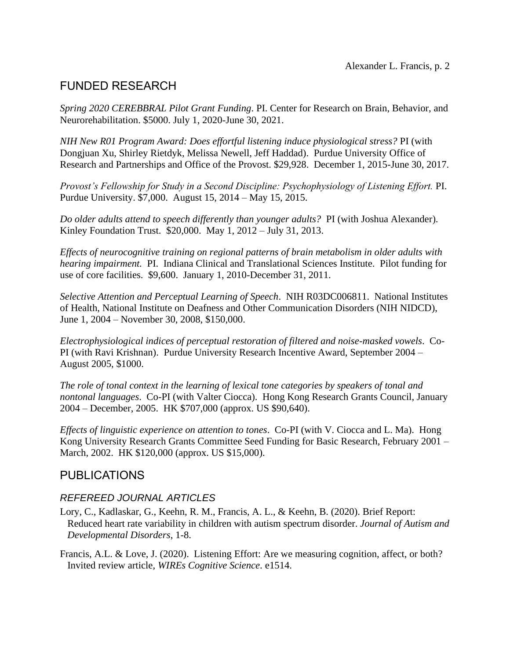## FUNDED RESEARCH

*Spring 2020 CEREBBRAL Pilot Grant Funding*. PI. Center for Research on Brain, Behavior, and Neurorehabilitation. \$5000. July 1, 2020-June 30, 2021.

*NIH New R01 Program Award: Does effortful listening induce physiological stress?* PI (with Dongjuan Xu, Shirley Rietdyk, Melissa Newell, Jeff Haddad). Purdue University Office of Research and Partnerships and Office of the Provost. \$29,928. December 1, 2015-June 30, 2017.

*Provost's Fellowship for Study in a Second Discipline: Psychophysiology of Listening Effort.* PI. Purdue University. \$7,000. August 15, 2014 – May 15, 2015.

*Do older adults attend to speech differently than younger adults?* PI (with Joshua Alexander). Kinley Foundation Trust. \$20,000. May 1, 2012 – July 31, 2013.

*Effects of neurocognitive training on regional patterns of brain metabolism in older adults with hearing impairment.* PI. Indiana Clinical and Translational Sciences Institute. Pilot funding for use of core facilities. \$9,600. January 1, 2010-December 31, 2011.

*Selective Attention and Perceptual Learning of Speech*. NIH R03DC006811. National Institutes of Health, National Institute on Deafness and Other Communication Disorders (NIH NIDCD), June 1, 2004 – November 30, 2008, \$150,000.

*Electrophysiological indices of perceptual restoration of filtered and noise-masked vowels*. Co-PI (with Ravi Krishnan). Purdue University Research Incentive Award, September 2004 – August 2005, \$1000.

*The role of tonal context in the learning of lexical tone categories by speakers of tonal and nontonal languages*. Co-PI (with Valter Ciocca). Hong Kong Research Grants Council, January 2004 – December, 2005. HK \$707,000 (approx. US \$90,640).

*Effects of linguistic experience on attention to tones*. Co-PI (with V. Ciocca and L. Ma). Hong Kong University Research Grants Committee Seed Funding for Basic Research, February 2001 – March, 2002. HK \$120,000 (approx. US \$15,000).

## PUBLICATIONS

### *REFEREED JOURNAL ARTICLES*

- Lory, C., Kadlaskar, G., Keehn, R. M., Francis, A. L., & Keehn, B. (2020). Brief Report: Reduced heart rate variability in children with autism spectrum disorder. *Journal of Autism and Developmental Disorders*, 1-8.
- Francis, A.L. & Love, J. (2020). Listening Effort: Are we measuring cognition, affect, or both? Invited review article, *WIREs Cognitive Science*. e1514.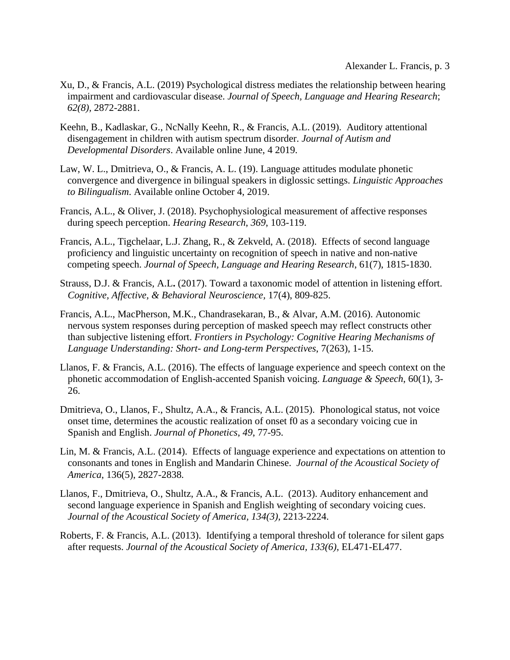- Xu, D., & Francis, A.L. (2019) Psychological distress mediates the relationship between hearing impairment and cardiovascular disease. *Journal of Speech, Language and Hearing Research*; *62(8),* 2872-2881.
- Keehn, B., Kadlaskar, G., NcNally Keehn, R., & Francis, A.L. (2019). Auditory attentional disengagement in children with autism spectrum disorder. *Journal of Autism and Developmental Disorders*. Available online June, 4 2019.
- Law, W. L., Dmitrieva, O., & Francis, A. L. (19). Language attitudes modulate phonetic convergence and divergence in bilingual speakers in diglossic settings. *Linguistic Approaches to Bilingualism*. Available online October 4, 2019.
- Francis, A.L., & Oliver, J. (2018). Psychophysiological measurement of affective responses during speech perception. *Hearing Research*, *369*, 103-119.
- Francis, A.L., Tigchelaar, L.J. Zhang, R., & Zekveld, A. (2018). Effects of second language proficiency and linguistic uncertainty on recognition of speech in native and non-native competing speech. *Journal of Speech, Language and Hearing Research*, 61(7), 1815-1830.
- Strauss, D.J. & Francis, A.L**.** (2017). Toward a taxonomic model of attention in listening effort. *Cognitive, Affective, & Behavioral Neuroscience,* 17(4), 809-825.
- Francis, A.L., MacPherson, M.K., Chandrasekaran, B., & Alvar, A.M. (2016). Autonomic nervous system responses during perception of masked speech may reflect constructs other than subjective listening effort. *Frontiers in Psychology: Cognitive Hearing Mechanisms of Language Understanding: Short- and Long-term Perspectives*, 7(263), 1-15.
- Llanos, F. & Francis, A.L. (2016). The effects of language experience and speech context on the phonetic accommodation of English-accented Spanish voicing. *Language & Speech*, 60(1), 3- 26.
- Dmitrieva, O., Llanos, F., Shultz, A.A., & Francis, A.L. (2015). Phonological status, not voice onset time, determines the acoustic realization of onset f0 as a secondary voicing cue in Spanish and English. *Journal of Phonetics*, *49*, 77-95.
- Lin, M. & Francis, A.L. (2014). Effects of language experience and expectations on attention to consonants and tones in English and Mandarin Chinese. *Journal of the Acoustical Society of America*, 136(5), 2827-2838*.*
- Llanos, F., Dmitrieva, O., Shultz, A.A., & Francis, A.L. (2013). Auditory enhancement and second language experience in Spanish and English weighting of secondary voicing cues. *Journal of the Acoustical Society of America, 134(3),* 2213-2224.
- Roberts, F. & Francis, A.L. (2013). Identifying a temporal threshold of tolerance for silent gaps after requests. *Journal of the Acoustical Society of America, 133(6),* EL471-EL477.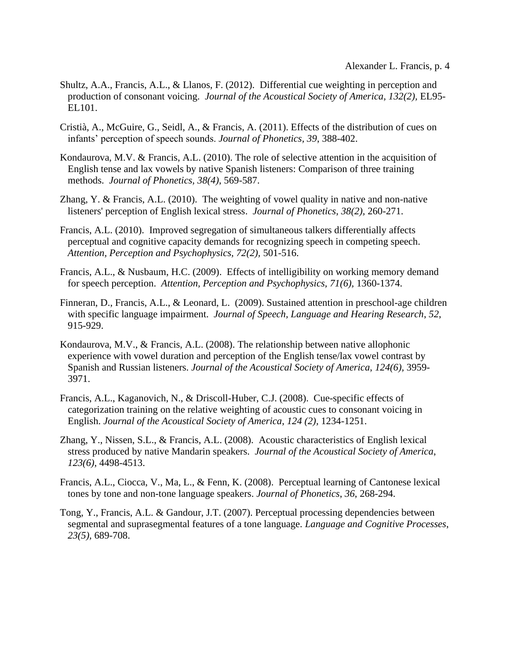- Shultz, A.A., Francis, A.L., & Llanos, F. (2012). Differential cue weighting in perception and production of consonant voicing. *Journal of the Acoustical Society of America, 132(2),* EL95- EL101.
- Cristià, A., McGuire, G., Seidl, A., & Francis, A. (2011). Effects of the distribution of cues on infants' perception of speech sounds. *Journal of Phonetics, 39*, 388-402.
- Kondaurova, M.V. & Francis, A.L. (2010). The role of selective attention in the acquisition of English tense and lax vowels by native Spanish listeners: Comparison of three training methods. *Journal of Phonetics, 38(4)*, 569-587.
- Zhang, Y. & Francis, A.L. (2010). The weighting of vowel quality in native and non-native listeners' perception of English lexical stress. *Journal of Phonetics*, *38(2),* 260-271.
- Francis, A.L. (2010). Improved segregation of simultaneous talkers differentially affects perceptual and cognitive capacity demands for recognizing speech in competing speech. *Attention, Perception and Psychophysics, 72(2),* 501-516.
- Francis, A.L., & Nusbaum, H.C. (2009). Effects of intelligibility on working memory demand for speech perception. *Attention, Perception and Psychophysics, 71(6),* 1360-1374.
- Finneran, D., Francis, A.L., & Leonard, L. (2009). Sustained attention in preschool-age children with specific language impairment. *Journal of Speech, Language and Hearing Research*, *52*, 915-929.
- Kondaurova, M.V., & Francis, A.L. (2008). The relationship between native allophonic experience with vowel duration and perception of the English tense/lax vowel contrast by Spanish and Russian listeners. *Journal of the Acoustical Society of America*, *124(6),* 3959- 3971.
- Francis, A.L., Kaganovich, N., & Driscoll-Huber, C.J. (2008). Cue-specific effects of categorization training on the relative weighting of acoustic cues to consonant voicing in English. *Journal of the Acoustical Society of America*, *124 (2),* 1234-1251.
- Zhang, Y., Nissen, S.L., & Francis, A.L. (2008). Acoustic characteristics of English lexical stress produced by native Mandarin speakers. *Journal of the Acoustical Society of America*, *123(6)*, 4498-4513.
- Francis, A.L., Ciocca, V., Ma, L., & Fenn, K. (2008). Perceptual learning of Cantonese lexical tones by tone and non-tone language speakers. *Journal of Phonetics*, *36*, 268-294.
- Tong, Y., Francis, A.L. & Gandour, J.T. (2007). Perceptual processing dependencies between segmental and suprasegmental features of a tone language. *Language and Cognitive Processes*, *23(5),* 689-708.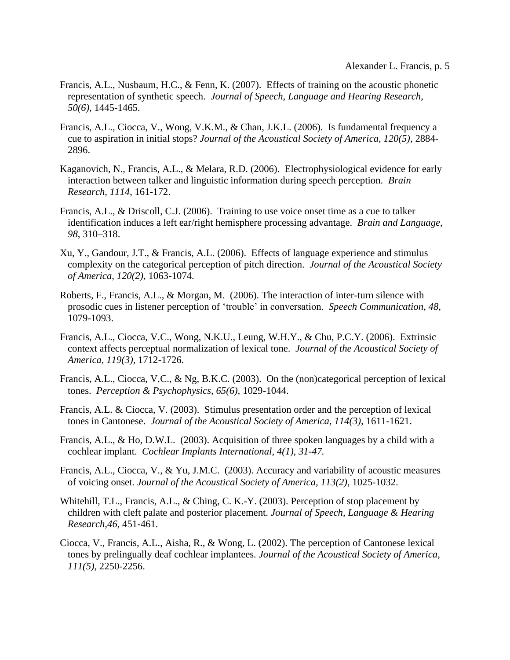- Francis, A.L., Nusbaum, H.C., & Fenn, K. (2007). Effects of training on the acoustic phonetic representation of synthetic speech. *Journal of Speech, Language and Hearing Research*, *50(6),* 1445-1465.
- Francis, A.L., Ciocca, V., Wong, V.K.M., & Chan, J.K.L. (2006). Is fundamental frequency a cue to aspiration in initial stops? *Journal of the Acoustical Society of America, 120(5)*, 2884- 2896.
- Kaganovich, N., Francis, A.L., & Melara, R.D. (2006). Electrophysiological evidence for early interaction between talker and linguistic information during speech perception. *Brain Research, 1114*, 161-172.
- Francis, A.L., & Driscoll, C.J. (2006). Training to use voice onset time as a cue to talker identification induces a left ear/right hemisphere processing advantage. *Brain and Language, 98*, 310–318.
- Xu, Y., Gandour, J.T., & Francis, A.L. (2006). Effects of language experience and stimulus complexity on the categorical perception of pitch direction. *Journal of the Acoustical Society of America*, *120(2)*, 1063-1074.
- Roberts, F., Francis, A.L., & Morgan, M. (2006). The interaction of inter-turn silence with prosodic cues in listener perception of 'trouble' in conversation. *Speech Communication*, *48*, 1079-1093.
- Francis, A.L., Ciocca, V.C., Wong, N.K.U., Leung, W.H.Y., & Chu, P.C.Y. (2006). Extrinsic context affects perceptual normalization of lexical tone. *Journal of the Acoustical Society of America, 119(3),* 1712-1726*.*
- Francis, A.L., Ciocca, V.C., & Ng, B.K.C. (2003). On the (non)categorical perception of lexical tones. *Perception & Psychophysics, 65(6),* 1029-1044.
- Francis, A.L. & Ciocca, V. (2003). Stimulus presentation order and the perception of lexical tones in Cantonese. *Journal of the Acoustical Society of America, 114(3),* 1611-1621.
- Francis, A.L., & Ho, D.W.L. (2003). Acquisition of three spoken languages by a child with a cochlear implant. *Cochlear Implants International, 4(1), 31-47.*
- Francis, A.L., Ciocca, V., & Yu, J.M.C. (2003). Accuracy and variability of acoustic measures of voicing onset. *Journal of the Acoustical Society of America, 113(2)*, 1025-1032.
- Whitehill, T.L., Francis, A.L., & Ching, C. K.-Y. (2003). Perception of stop placement by children with cleft palate and posterior placement. *Journal of Speech, Language & Hearing Research,46*, 451-461.
- Ciocca, V., Francis, A.L., Aisha, R., & Wong, L. (2002). The perception of Cantonese lexical tones by prelingually deaf cochlear implantees. *Journal of the Acoustical Society of America, 111(5)*, 2250-2256.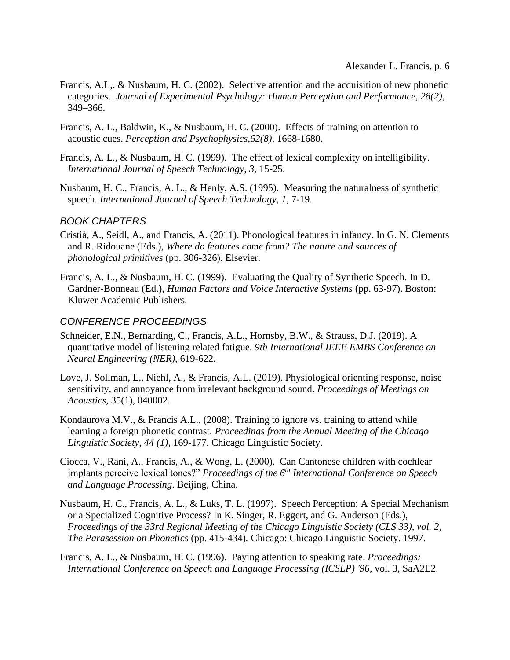- Francis, A.L,. & Nusbaum, H. C. (2002). Selective attention and the acquisition of new phonetic categories. *Journal of Experimental Psychology: Human Perception and Performance, 28(2)*, 349–366.
- Francis, A. L., Baldwin, K., & Nusbaum, H. C. (2000). Effects of training on attention to acoustic cues. *Perception and Psychophysics,62(8),* 1668-1680.
- Francis, A. L., & Nusbaum, H. C. (1999). The effect of lexical complexity on intelligibility. *International Journal of Speech Technology, 3,* 15-25.
- Nusbaum, H. C., Francis, A. L., & Henly, A.S. (1995). Measuring the naturalness of synthetic speech. *International Journal of Speech Technology, 1,* 7-19.

#### *BOOK CHAPTERS*

- Cristià, A., Seidl, A., and Francis, A. (2011). Phonological features in infancy. In G. N. Clements and R. Ridouane (Eds.), *Where do features come from? The nature and sources of phonological primitives* (pp. 306-326). Elsevier.
- Francis, A. L., & Nusbaum, H. C. (1999). Evaluating the Quality of Synthetic Speech. In D. Gardner-Bonneau (Ed.), *Human Factors and Voice Interactive Systems* (pp. 63-97). Boston: Kluwer Academic Publishers.

#### *CONFERENCE PROCEEDINGS*

- Schneider, E.N., Bernarding, C., Francis, A.L., Hornsby, B.W., & Strauss, D.J. (2019). A quantitative model of listening related fatigue. *9th International IEEE EMBS Conference on Neural Engineering (NER),* 619-622*.*
- Love, J. Sollman, L., Niehl, A., & Francis, A.L. (2019). Physiological orienting response, noise sensitivity, and annoyance from irrelevant background sound. *Proceedings of Meetings on Acoustics*, 35(1), 040002.
- Kondaurova M.V., & Francis A.L., (2008). Training to ignore vs. training to attend while learning a foreign phonetic contrast. *Proceedings from the Annual Meeting of the Chicago Linguistic Society, 44 (1),* 169-177. Chicago Linguistic Society.
- Ciocca, V., Rani, A., Francis, A., & Wong, L. (2000). Can Cantonese children with cochlear implants perceive lexical tones?" *Proceedings of the 6th International Conference on Speech and Language Processing*. Beijing, China.
- Nusbaum, H. C., Francis, A. L., & Luks, T. L. (1997). Speech Perception: A Special Mechanism or a Specialized Cognitive Process? In K. Singer, R. Eggert, and G. Anderson (Eds.), *Proceedings of the 33rd Regional Meeting of the Chicago Linguistic Society (CLS 33), vol. 2, The Parasession on Phonetics* (pp. 415-434)*.* Chicago: Chicago Linguistic Society. 1997.
- Francis, A. L., & Nusbaum, H. C. (1996). Paying attention to speaking rate. *Proceedings: International Conference on Speech and Language Processing (ICSLP) '96*, vol. 3, SaA2L2.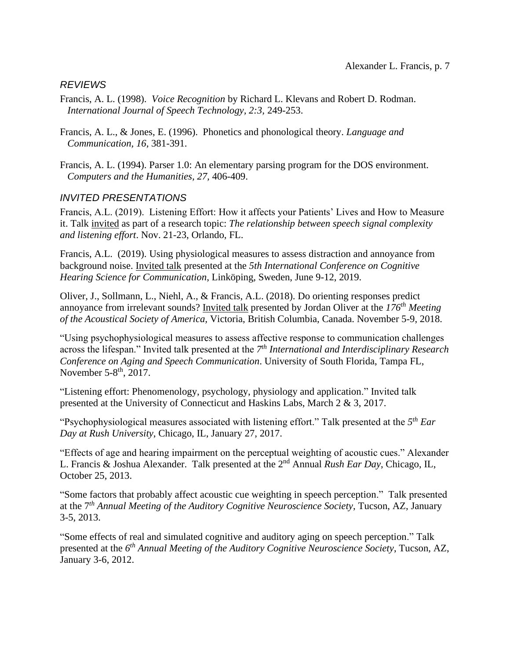### *REVIEWS*

- Francis, A. L. (1998). *Voice Recognition* by Richard L. Klevans and Robert D. Rodman. *International Journal of Speech Technology, 2:3,* 249-253.
- Francis, A. L., & Jones, E. (1996). Phonetics and phonological theory. *Language and Communication, 16,* 381-391.
- Francis, A. L. (1994). Parser 1.0: An elementary parsing program for the DOS environment. *Computers and the Humanities, 27,* 406-409.

### *INVITED PRESENTATIONS*

Francis, A.L. (2019). Listening Effort: How it affects your Patients' Lives and How to Measure it. Talk invited as part of a research topic: *The relationship between speech signal complexity and listening effort*. Nov. 21-23, Orlando, FL.

Francis, A.L. (2019). Using physiological measures to assess distraction and annoyance from background noise. Invited talk presented at the *5th International Conference on Cognitive Hearing Science for Communication*, Linköping, Sweden, June 9-12, 2019.

Oliver, J., Sollmann, L., Niehl, A., & Francis, A.L. (2018). Do orienting responses predict annoyance from irrelevant sounds? Invited talk presented by Jordan Oliver at the *176th Meeting of the Acoustical Society of America,* Victoria, British Columbia, Canada. November 5-9, 2018.

"Using psychophysiological measures to assess affective response to communication challenges across the lifespan." Invited talk presented at the *7 th International and Interdisciplinary Research Conference on Aging and Speech Communication*. University of South Florida, Tampa FL, November  $5-8^{\text{th}}$ , 2017.

"Listening effort: Phenomenology, psychology, physiology and application." Invited talk presented at the University of Connecticut and Haskins Labs, March 2 & 3, 2017.

"Psychophysiological measures associated with listening effort." Talk presented at the *5 th Ear Day at Rush University*, Chicago, IL, January 27, 2017.

"Effects of age and hearing impairment on the perceptual weighting of acoustic cues." Alexander L. Francis & Joshua Alexander. Talk presented at the 2nd Annual *Rush Ear Day*, Chicago, IL, October 25, 2013.

"Some factors that probably affect acoustic cue weighting in speech perception." Talk presented at the 7*th Annual Meeting of the Auditory Cognitive Neuroscience Society*, Tucson, AZ, January 3-5, 2013.

"Some effects of real and simulated cognitive and auditory aging on speech perception." Talk presented at the *6 th Annual Meeting of the Auditory Cognitive Neuroscience Society*, Tucson, AZ, January 3-6, 2012.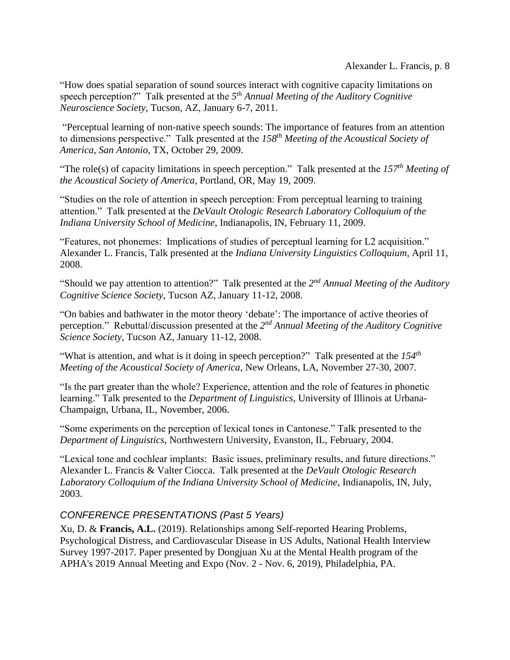"How does spatial separation of sound sources interact with cognitive capacity limitations on speech perception?" Talk presented at the *5 th Annual Meeting of the Auditory Cognitive Neuroscience Society*, Tucson, AZ, January 6-7, 2011.

"Perceptual learning of non-native speech sounds: The importance of features from an attention to dimensions perspective." Talk presented at the *158th Meeting of the Acoustical Society of America, San Antonio*, TX, October 29, 2009.

"The role(s) of capacity limitations in speech perception." Talk presented at the *157th Meeting of the Acoustical Society of America*, Portland, OR, May 19, 2009.

"Studies on the role of attention in speech perception: From perceptual learning to training attention." Talk presented at the *DeVault Otologic Research Laboratory Colloquium of the Indiana University School of Medicine*, Indianapolis, IN, February 11, 2009.

"Features, not phonemes: Implications of studies of perceptual learning for L2 acquisition." Alexander L. Francis, Talk presented at the *Indiana University Linguistics Colloquium*, April 11, 2008.

"Should we pay attention to attention?" Talk presented at the 2<sup>nd</sup> Annual Meeting of the Auditory *Cognitive Science Society*, Tucson AZ, January 11-12, 2008.

"On babies and bathwater in the motor theory 'debate': The importance of active theories of perception." Rebuttal/discussion presented at the 2<sup>nd</sup> Annual Meeting of the Auditory Cognitive *Science Society*, Tucson AZ, January 11-12, 2008.

"What is attention, and what is it doing in speech perception?" Talk presented at the *154th Meeting of the Acoustical Society of America*, New Orleans, LA, November 27-30, 2007.

"Is the part greater than the whole? Experience, attention and the role of features in phonetic learning." Talk presented to the *Department of Linguistics*, University of Illinois at Urbana-Champaign, Urbana, IL, November, 2006.

"Some experiments on the perception of lexical tones in Cantonese." Talk presented to the *Department of Linguistics*, Northwestern University, Evanston, IL, February, 2004.

"Lexical tone and cochlear implants: Basic issues, preliminary results, and future directions." Alexander L. Francis & Valter Ciocca. Talk presented at the *DeVault Otologic Research Laboratory Colloquium of the Indiana University School of Medicine*, Indianapolis, IN, July, 2003.

## *CONFERENCE PRESENTATIONS (Past 5 Years)*

Xu, D. & **Francis, A.L.** (2019). Relationships among Self-reported Hearing Problems, Psychological Distress, and Cardiovascular Disease in US Adults, National Health Interview Survey 1997-2017. Paper presented by Dongjuan Xu at the Mental Health program of the APHA's 2019 Annual Meeting and Expo (Nov. 2 - Nov. 6, 2019), Philadelphia, PA.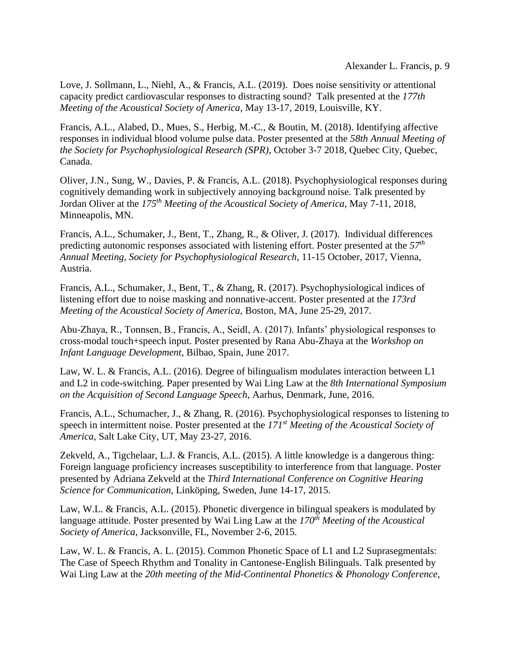Love, J. Sollmann, L., Niehl, A., & Francis, A.L. (2019). Does noise sensitivity or attentional capacity predict cardiovascular responses to distracting sound? Talk presented at the *177th Meeting of the Acoustical Society of America*, May 13-17, 2019, Louisville, KY.

Francis, A.L., Alabed, D., Mues, S., Herbig, M.-C., & Boutin, M. (2018). Identifying affective responses in individual blood volume pulse data. Poster presented at the *58th Annual Meeting of the Society for Psychophysiological Research (SPR)*, October 3-7 2018, Quebec City, Quebec, Canada.

Oliver, J.N., Sung, W., Davies, P. & Francis, A.L. (2018). Psychophysiological responses during cognitively demanding work in subjectively annoying background noise. Talk presented by Jordan Oliver at the *175th Meeting of the Acoustical Society of America*, May 7-11, 2018, Minneapolis, MN.

Francis, A.L., Schumaker, J., Bent, T., Zhang, R., & Oliver, J. (2017). Individual differences predicting autonomic responses associated with listening effort. Poster presented at the *57th Annual Meeting, Society for Psychophysiological Research*, 11-15 October, 2017, Vienna, Austria.

Francis, A.L., Schumaker, J., Bent, T., & Zhang, R. (2017). Psychophysiological indices of listening effort due to noise masking and nonnative-accent. Poster presented at the *173rd Meeting of the Acoustical Society of America*, Boston, MA, June 25-29, 2017.

Abu-Zhaya, R., Tonnsen, B., Francis, A., Seidl, A. (2017). Infants' physiological responses to cross-modal touch+speech input. Poster presented by Rana Abu-Zhaya at the *Workshop on Infant Language Development*, Bilbao, Spain, June 2017.

Law, W. L. & Francis, A.L. (2016). Degree of bilingualism modulates interaction between L1 and L2 in code-switching. Paper presented by Wai Ling Law at the *8th International Symposium on the Acquisition of Second Language Speech*, Aarhus, Denmark, June, 2016.

Francis, A.L., Schumacher, J., & Zhang, R. (2016). Psychophysiological responses to listening to speech in intermittent noise. Poster presented at the *171st Meeting of the Acoustical Society of America*, Salt Lake City, UT, May 23-27, 2016.

Zekveld, A., Tigchelaar, L.J. & Francis, A.L. (2015). A little knowledge is a dangerous thing: Foreign language proficiency increases susceptibility to interference from that language. Poster presented by Adriana Zekveld at the *Third International Conference on Cognitive Hearing Science for Communication*, Linköping, Sweden, June 14-17, 2015.

Law, W.L. & Francis, A.L. (2015). Phonetic divergence in bilingual speakers is modulated by language attitude. Poster presented by Wai Ling Law at the *170th Meeting of the Acoustical Society of America*, Jacksonville, FL, November 2-6, 2015.

Law, W. L. & Francis, A. L. (2015). Common Phonetic Space of L1 and L2 Suprasegmentals: The Case of Speech Rhythm and Tonality in Cantonese-English Bilinguals. Talk presented by Wai Ling Law at the *20th meeting of the Mid-Continental Phonetics & Phonology Conference*,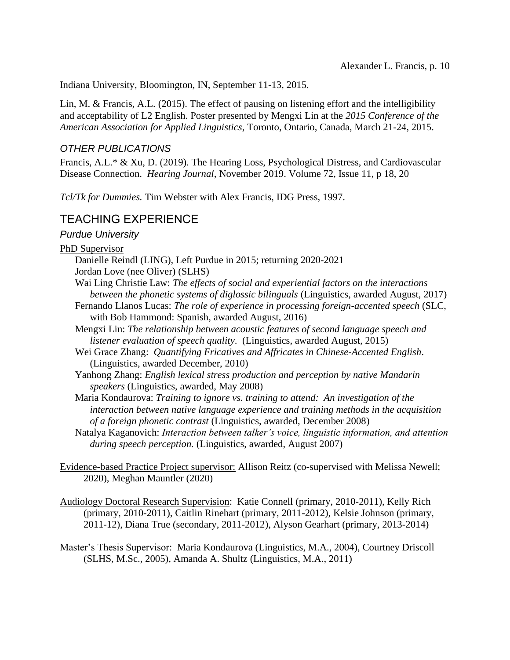Indiana University, Bloomington, IN, September 11-13, 2015.

Lin, M. & Francis, A.L. (2015). The effect of pausing on listening effort and the intelligibility and acceptability of L2 English. Poster presented by Mengxi Lin at the *2015 Conference of the American Association for Applied Linguistics*, Toronto, Ontario, Canada, March 21-24, 2015.

### *OTHER PUBLICATIONS*

Francis, A.L.\* & Xu, D. (2019). The Hearing Loss, Psychological Distress, and Cardiovascular Disease Connection. *Hearing Journal*, November 2019. Volume 72, Issue 11, p 18, 20

*Tcl/Tk for Dummies.* Tim Webster with Alex Francis, IDG Press, 1997.

## TEACHING EXPERIENCE

### *Purdue University*

PhD Supervisor

- Danielle Reindl (LING), Left Purdue in 2015; returning 2020-2021
- Jordan Love (nee Oliver) (SLHS)
- Wai Ling Christie Law: *The effects of social and experiential factors on the interactions between the phonetic systems of diglossic bilinguals* (Linguistics, awarded August, 2017)
- Fernando Llanos Lucas: *The role of experience in processing foreign-accented speech* (SLC, with Bob Hammond: Spanish, awarded August, 2016)
- Mengxi Lin: *The relationship between acoustic features of second language speech and listener evaluation of speech quality*. (Linguistics, awarded August, 2015)
- Wei Grace Zhang: *Quantifying Fricatives and Affricates in Chinese-Accented English*. (Linguistics, awarded December, 2010)
- Yanhong Zhang: *English lexical stress production and perception by native Mandarin speakers* (Linguistics, awarded, May 2008)
- Maria Kondaurova: *Training to ignore vs. training to attend: An investigation of the interaction between native language experience and training methods in the acquisition of a foreign phonetic contrast* (Linguistics, awarded, December 2008)
- Natalya Kaganovich: *Interaction between talker's voice, linguistic information, and attention during speech perception.* (Linguistics, awarded, August 2007)
- Evidence-based Practice Project supervisor: Allison Reitz (co-supervised with Melissa Newell; 2020), Meghan Mauntler (2020)
- Audiology Doctoral Research Supervision: Katie Connell (primary, 2010-2011), Kelly Rich (primary, 2010-2011), Caitlin Rinehart (primary, 2011-2012), Kelsie Johnson (primary, 2011-12), Diana True (secondary, 2011-2012), Alyson Gearhart (primary, 2013-2014)
- Master's Thesis Supervisor: Maria Kondaurova (Linguistics, M.A., 2004), Courtney Driscoll (SLHS, M.Sc., 2005), Amanda A. Shultz (Linguistics, M.A., 2011)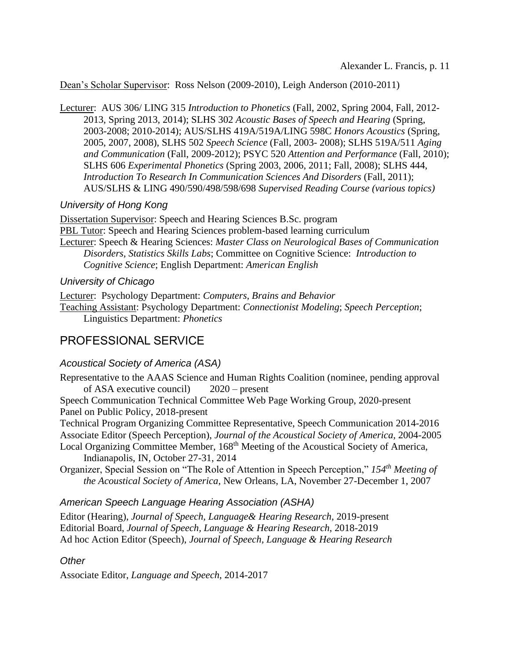Dean's Scholar Supervisor: Ross Nelson (2009-2010), Leigh Anderson (2010-2011)

Lecturer: AUS 306/ LING 315 *Introduction to Phonetics* (Fall, 2002, Spring 2004, Fall, 2012- 2013, Spring 2013, 2014); SLHS 302 *Acoustic Bases of Speech and Hearing* (Spring, 2003-2008; 2010-2014); AUS/SLHS 419A/519A/LING 598C *Honors Acoustics* (Spring, 2005, 2007, 2008), SLHS 502 *Speech Science* (Fall, 2003- 2008); SLHS 519A/511 *Aging and Communication* (Fall, 2009-2012); PSYC 520 *Attention and Performance* (Fall, 2010); SLHS 606 *Experimental Phonetics* (Spring 2003, 2006, 2011; Fall, 2008); SLHS 444, *Introduction To Research In Communication Sciences And Disorders* (Fall, 2011); AUS/SLHS & LING 490/590/498/598/698 *Supervised Reading Course (various topics)*

### *University of Hong Kong*

Dissertation Supervisor: Speech and Hearing Sciences B.Sc. program PBL Tutor: Speech and Hearing Sciences problem-based learning curriculum Lecturer: Speech & Hearing Sciences: *Master Class on Neurological Bases of Communication Disorders, Statistics Skills Labs*; Committee on Cognitive Science: *Introduction to Cognitive Science*; English Department: *American English*

### *University of Chicago*

Lecturer: Psychology Department: *Computers, Brains and Behavior* Teaching Assistant: Psychology Department: *Connectionist Modeling*; *Speech Perception*; Linguistics Department: *Phonetics*

## PROFESSIONAL SERVICE

## *Acoustical Society of America (ASA)*

Representative to the AAAS Science and Human Rights Coalition (nominee, pending approval of ASA executive council) 2020 – present

Speech Communication Technical Committee Web Page Working Group, 2020-present Panel on Public Policy, 2018-present

Technical Program Organizing Committee Representative, Speech Communication 2014-2016 Associate Editor (Speech Perception), *Journal of the Acoustical Society of America,* 2004-2005

Local Organizing Committee Member, 168<sup>th</sup> Meeting of the Acoustical Society of America, Indianapolis, IN, October 27-31, 2014

Organizer, Special Session on "The Role of Attention in Speech Perception," *154th Meeting of the Acoustical Society of America*, New Orleans, LA, November 27-December 1, 2007

### *American Speech Language Hearing Association (ASHA)*

Editor (Hearing), *Journal of Speech, Language& Hearing Research*, 2019-present Editorial Board, *Journal of Speech, Language & Hearing Research*, 2018-2019 Ad hoc Action Editor (Speech), *Journal of Speech, Language & Hearing Research*

### *Other*

Associate Editor, *Language and Speech*, 2014-2017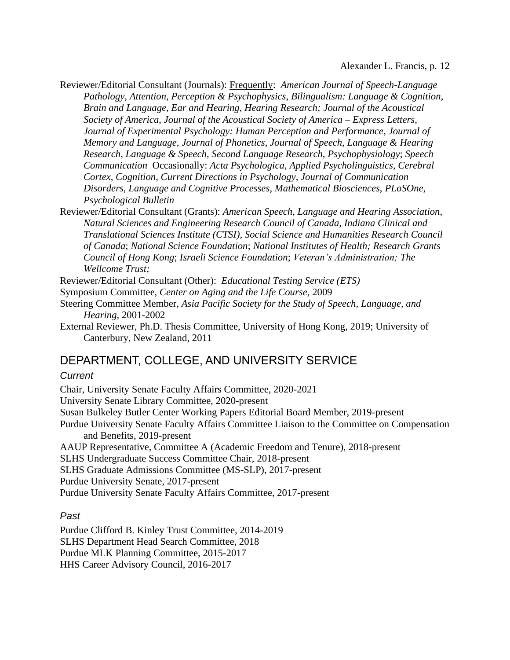Reviewer/Editorial Consultant (Journals): Frequently: *American Journal of Speech-Language Pathology*, *Attention, Perception & Psychophysics*, *Bilingualism: Language & Cognition*, *Brain and Language*, *Ear and Hearing*, *Hearing Research; Journal of the Acoustical Society of America*, *Journal of the Acoustical Society of America – Express Letters*, *Journal of Experimental Psychology: Human Perception and Performance*, *Journal of Memory and Language*, *Journal of Phonetics*, *Journal of Speech, Language & Hearing Research*, *Language & Speech*, *Second Language Research*, *Psychophysiology*; *Speech Communication* Occasionally: *Acta Psychologica*, *Applied Psycholinguistics*, *Cerebral Cortex*, *Cognition*, *Current Directions in Psychology*, *Journal of Communication Disorders, Language and Cognitive Processes*, *Mathematical Biosciences*, *PLoSOne*, *Psychological Bulletin*

Reviewer/Editorial Consultant (Grants): *American Speech, Language and Hearing Association, Natural Sciences and Engineering Research Council of Canada, Indiana Clinical and Translational Sciences Institute (CTSI), Social Science and Humanities Research Council of Canada*; *National Science Foundation*; *National Institutes of Health; Research Grants Council of Hong Kong*; *Israeli Science Foundation*; *Veteran's Administration; The Wellcome Trust;* 

Reviewer/Editorial Consultant (Other): *Educational Testing Service (ETS)*

- Symposium Committee, *Center on Aging and the Life Course*, 2009
- Steering Committee Member, *Asia Pacific Society for the Study of Speech, Language, and Hearing*, 2001-2002
- External Reviewer, Ph.D. Thesis Committee, University of Hong Kong, 2019; University of Canterbury, New Zealand, 2011

## DEPARTMENT, COLLEGE, AND UNIVERSITY SERVICE

#### *Current*

Chair, University Senate Faculty Affairs Committee, 2020-2021 University Senate Library Committee, 2020-present Susan Bulkeley Butler Center Working Papers Editorial Board Member, 2019-present Purdue University Senate Faculty Affairs Committee Liaison to the Committee on Compensation and Benefits, 2019-present AAUP Representative, Committee A (Academic Freedom and Tenure), 2018-present SLHS Undergraduate Success Committee Chair, 2018-present SLHS Graduate Admissions Committee (MS-SLP), 2017-present Purdue University Senate, 2017-present Purdue University Senate Faculty Affairs Committee, 2017-present

#### *Past*

Purdue Clifford B. Kinley Trust Committee, 2014-2019 SLHS Department Head Search Committee, 2018 Purdue MLK Planning Committee, 2015-2017 HHS Career Advisory Council, 2016-2017